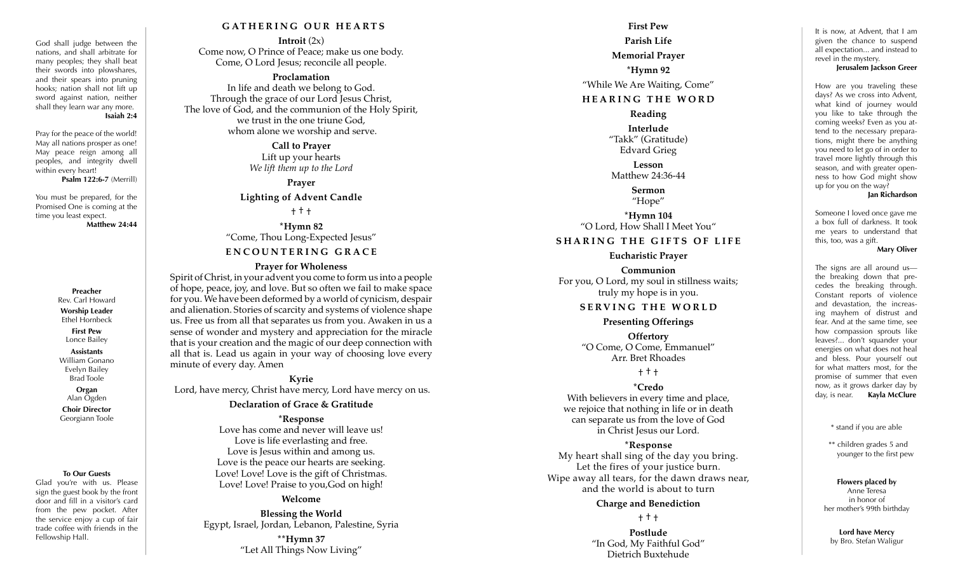#### God shall judge between the nations, and shall arbitrate for many peoples; they shall beat their swords into plowshares, and their spears into pruning hooks; nation shall not lift up sword against nation, neither shall they learn war any more. **Isaiah 2:4**

Pray for the peace of the world! May all nations prosper as one! May peace reign among all peoples, and integrity dwell within every heart!

**Psalm 122:6-7** (Merrill)

You must be prepared, for the Promised One is coming at the time you least expect.

**Matthew 24:44**

#### **Preacher** Rev. Carl Howard

**Worship Leader** Ethel Hornbeck

**First Pew** Lonce Bailey

### **Assistants** William Gonano

Evelyn Bailey Brad Toole

**Organ** Alan Ogden

**Choir Director** Georgiann Toole

#### **To Our Guests**

Glad you're with us. Please sign the guest book by the front door and fill in a visitor's card from the pew pocket. After the service enjoy a cup of fair trade coffee with friends in the Fellowship Hall.

## **GATHERING OUR HEARTS**

**Introit** (2x) Come now, O Prince of Peace; make us one body. Come, O Lord Jesus; reconcile all people.

### **Proclamation**

In life and death we belong to God. Through the grace of our Lord Jesus Christ, The love of God, and the communion of the Holy Spirit, we trust in the one triune God, whom alone we worship and serve.

> **Call to Prayer** Lift up your hearts *We lift them up to the Lord*

**Prayer Lighting of Advent Candle**

† † †

**\*Hymn 82** "Come, Thou Long-Expected Jesus"

# **ENCOUNTERING GRACE**

### **Prayer for Wholeness**

Spirit of Christ, in your advent you come to form us into a people of hope, peace, joy, and love. But so often we fail to make space for you. We have been deformed by a world of cynicism, despair and alienation. Stories of scarcity and systems of violence shape us. Free us from all that separates us from you. Awaken in us a sense of wonder and mystery and appreciation for the miracle that is your creation and the magic of our deep connection with all that is. Lead us again in your way of choosing love every minute of every day. Amen

**Kyrie** Lord, have mercy, Christ have mercy, Lord have mercy on us.

### **Declaration of Grace & Gratitude**

**\*Response**

Love has come and never will leave us! Love is life everlasting and free. Love is Jesus within and among us. Love is the peace our hearts are seeking. Love! Love! Love is the gift of Christmas. Love! Love! Praise to you,God on high!

#### **Welcome**

**Blessing the World** Egypt, Israel, Jordan, Lebanon, Palestine, Syria

> **\*\*Hymn 37** "Let All Things Now Living"

# **First Pew Parish Life Memorial Prayer \*Hymn 92** "While We Are Waiting, Come"

# **HEARING THE WORD**

**Reading** 

**Interlude** "Takk" (Gratitude) Edvard Grieg

**Lesson** Matthew 24:36-44

> **Sermon** "Hope"

**\*Hymn 104** "O Lord, How Shall I Meet You"

## **SHARING THE GIFTS OF LIFE**

#### **Eucharistic Prayer**

**Communion** For you, O Lord, my soul in stillness waits; truly my hope is in you.

## **SERVING THE WORLD**

#### **Presenting Offerings**

**Offertory** "O Come, O Come, Emmanuel" Arr. Bret Rhoades

† † †

### **\*Credo**

With believers in every time and place, we rejoice that nothing in life or in death can separate us from the love of God in Christ Jesus our Lord.

**\*Response** My heart shall sing of the day you bring. Let the fires of your justice burn. Wipe away all tears, for the dawn draws near,

# and the world is about to turn **Charge and Benediction**

† † †

**Postlude** "In God, My Faithful God" Dietrich Buxtehude

It is now, at Advent, that I am given the chance to suspend all expectation... and instead to revel in the mystery.

#### **Jerusalem Jackson Greer**

How are you traveling these days? As we cross into Advent what kind of journey would you like to take through the coming weeks? Even as you at tend to the necessary prepara tions, might there be anything you need to let go of in order to travel more lightly through this season, and with greater open ness to how God might show up for you on the way?

#### **Jan Richardson**

Someone I loved once gave me a box full of darkness. It took me years to understand that this, too, was a gift.

#### **Mary Oliver**

The signs are all around us the breaking down that pre cedes the breaking through. Constant reports of violence and devastation, the increas ing mayhem of distrust and fear. And at the same time, see how compassion sprouts like leaves?... don't squander your energies on what does not heal and bless. Pour yourself out for what matters most, for the promise of summer that even now, as it grows darker day by day, is near. **Kayla McClure**

\* stand if you are able

\*\* children grades 5 and younger to the first pew

# **Flowers placed by**

Anne Teresa in honor of her mother's 99th birthday

**Lord have Mercy**  by Bro. Stefan Waligur